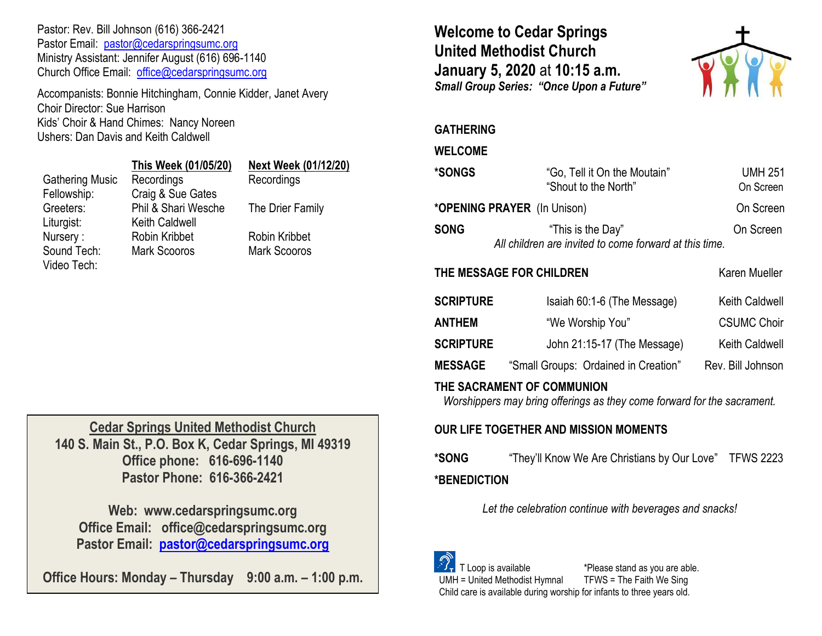Pastor: Rev. Bill Johnson (616) 366-2421 Pastor Email: [pastor@cedarspringsumc.org](mailto:pastor@cedarspringsumc.org) Ministry Assistant: Jennifer August (616) 696-1140 Church Office Email: [office@cedarspringsumc.org](mailto:office@cedarspringsumc.org)

Accompanists: Bonnie Hitchingham, Connie Kidder, Janet Avery Choir Director: Sue Harrison Kids' Choir & Hand Chimes: Nancy Noreen Ushers: Dan Davis and Keith Caldwell

|                        | This Week (01/05/20)  | Next Week (01/1  |
|------------------------|-----------------------|------------------|
| <b>Gathering Music</b> | Recordings            | Recordings       |
| Fellowship:            | Craig & Sue Gates     |                  |
| Greeters:              | Phil & Shari Wesche   | The Drier Family |
| Liturgist:             | <b>Keith Caldwell</b> |                  |
| Nursery:               | Robin Kribbet         | Robin Kribbet    |
| Sound Tech:            | Mark Scooros          | Mark Scooros     |

Video Tech:

## **This Week (01/05/20) Next Week (01/12/20)**

**Cedar Springs United Methodist Church 140 S. Main St., P.O. Box K, Cedar Springs, MI 49319 Office phone: 616-696-1140 Pastor Phone: 616-366-2421**

**Web: www.cedarspringsumc.org Office Email: office@cedarspringsumc.org Pastor Email: [pastor@cedarspringsumc.org](mailto:pastor@cedarspringsumc.org)**

**Office Hours: Monday – Thursday 9:00 a.m. – 1:00 p.m.**

**Welcome to Cedar Springs United Methodist Church January 5, 2020** at **10:15 a.m.**  *Small Group Series: "Once Upon a Future"*



## **GATHERING**

## **WELCOME**

| <b>*SONGS</b>               | "Go, Tell it On the Moutain"<br>"Shout to the North"                        | <b>UMH 251</b><br>On Screen |
|-----------------------------|-----------------------------------------------------------------------------|-----------------------------|
| *OPENING PRAYER (In Unison) |                                                                             | On Screen                   |
| <b>SONG</b>                 | "This is the Day"<br>All children are invited to come forward at this time. | On Screen                   |
| THE MESSAGE FOR CHILDREN    |                                                                             | Karen Mueller               |
| <b>SCRIPTURE</b>            | Isaiah 60:1-6 (The Message)                                                 | <b>Keith Caldwell</b>       |
| <b>ANTHEM</b>               | "We Worship You"                                                            | <b>CSUMC Choir</b>          |

| <b>SCRIPTURE</b> | John 21:15-17 (The Message)          | <b>Keith Caldwell</b> |
|------------------|--------------------------------------|-----------------------|
| <b>MESSAGE</b>   | "Small Groups: Ordained in Creation" | Rev. Bill Johnson     |

## **THE SACRAMENT OF COMMUNION**

*Worshippers may bring offerings as they come forward for the sacrament.*

# **OUR LIFE TOGETHER AND MISSION MOMENTS**

**\*SONG** "They'll Know We Are Christians by Our Love" TFWS 2223 **\*BENEDICTION** 

*Let the celebration continue with beverages and snacks!*



 T Loop is available \*Please stand as you are able. UMH = United Methodist Hymnal TFWS = The Faith We Sing Child care is available during worship for infants to three years old.